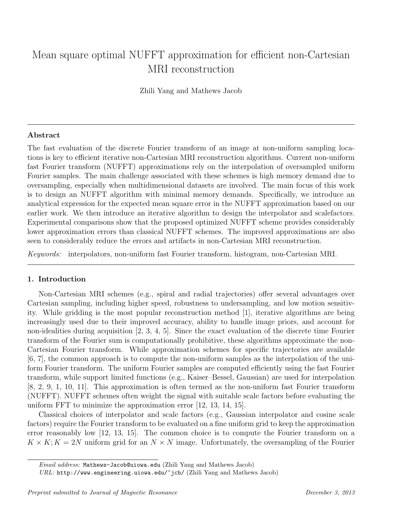# Mean square optimal NUFFT approximation for efficient non-Cartesian MRI reconstruction

Zhili Yang and Mathews Jacob

# Abstract

The fast evaluation of the discrete Fourier transform of an image at non-uniform sampling locations is key to efficient iterative non-Cartesian MRI reconstruction algorithms. Current non-uniform fast Fourier transform (NUFFT) approximations rely on the interpolation of oversampled uniform Fourier samples. The main challenge associated with these schemes is high memory demand due to oversampling, especially when multidimensional datasets are involved. The main focus of this work is to design an NUFFT algorithm with minimal memory demands. Specifically, we introduce an analytical expression for the expected mean square error in the NUFFT approximation based on our earlier work. We then introduce an iterative algorithm to design the interpolator and scalefactors. Experimental comparisons show that the proposed optimized NUFFT scheme provides considerably lower approximation errors than classical NUFFT schemes. The improved approximations are also seen to considerably reduce the errors and artifacts in non-Cartesian MRI reconstruction.

Keywords: interpolators, non-uniform fast Fourier transform, histogram, non-Cartesian MRI.

# 1. Introduction

Non-Cartesian MRI schemes (e.g., spiral and radial trajectories) offer several advantages over Cartesian sampling, including higher speed, robustness to undersampling, and low motion sensitivity. While gridding is the most popular reconstruction method [1], iterative algorithms are being increasingly used due to their improved accuracy, ability to handle image priors, and account for non-idealities during acquisition [2, 3, 4, 5]. Since the exact evaluation of the discrete time Fourier transform of the Fourier sum is computationally prohibitive, these algorithms approximate the non-Cartesian Fourier transform. While approximation schemes for specific trajectories are available [6, 7], the common approach is to compute the non-uniform samples as the interpolation of the uniform Fourier transform. The uniform Fourier samples are computed efficiently using the fast Fourier transform, while support limited functions (e.g., Kaiser–Bessel, Gaussian) are used for interpolation [8, 2, 9, 1, 10, 11]. This approximation is often termed as the non-uniform fast Fourier transform (NUFFT). NUFFT schemes often weight the signal with suitable scale factors before evaluating the uniform FFT to minimize the approximation error [12, 13, 14, 15].

Classical choices of interpolator and scale factors (e.g., Gaussian interpolator and cosine scale factors) require the Fourier transform to be evaluated on a fine uniform grid to keep the approximation error reasonably low [12, 13, 15]. The common choice is to compute the Fourier transform on a  $K \times K$ ;  $K = 2N$  uniform grid for an  $N \times N$  image. Unfortunately, the oversampling of the Fourier

Email address: Mathews-Jacob@uiowa.edu (Zhili Yang and Mathews Jacob)

URL: http://www.engineering.uiowa.edu/~jcb/ (Zhili Yang and Mathews Jacob)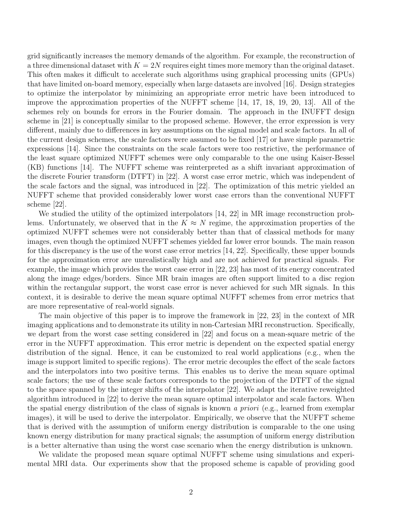grid significantly increases the memory demands of the algorithm. For example, the reconstruction of a three dimensional dataset with  $K = 2N$  requires eight times more memory than the original dataset. This often makes it difficult to accelerate such algorithms using graphical processing units (GPUs) that have limited on-board memory, especially when large datasets are involved [16]. Design strategies to optimize the interpolator by minimizing an appropriate error metric have been introduced to improve the approximation properties of the NUFFT scheme [14, 17, 18, 19, 20, 13]. All of the schemes rely on bounds for errors in the Fourier domain. The approach in the INUFFT design scheme in [21] is conceptually similar to the proposed scheme. However, the error expression is very different, mainly due to differences in key assumptions on the signal model and scale factors. In all of the current design schemes, the scale factors were assumed to be fixed [17] or have simple parametric expressions [14]. Since the constraints on the scale factors were too restrictive, the performance of the least square optimized NUFFT schemes were only comparable to the one using Kaiser-Bessel (KB) functions [14]. The NUFFT scheme was reinterpreted as a shift invariant approximation of the discrete Fourier transform (DTFT) in [22]. A worst case error metric, which was independent of the scale factors and the signal, was introduced in [22]. The optimization of this metric yielded an NUFFT scheme that provided considerably lower worst case errors than the conventional NUFFT scheme [22].

We studied the utility of the optimized interpolators [14, 22] in MR image reconstruction problems. Unfortunately, we observed that in the  $K \approx N$  regime, the approximation properties of the optimized NUFFT schemes were not considerably better than that of classical methods for many images, even though the optimized NUFFT schemes yielded far lower error bounds. The main reason for this discrepancy is the use of the worst case error metrics [14, 22]. Specifically, these upper bounds for the approximation error are unrealistically high and are not achieved for practical signals. For example, the image which provides the worst case error in [22, 23] has most of its energy concentrated along the image edges/borders. Since MR brain images are often support limited to a disc region within the rectangular support, the worst case error is never achieved for such MR signals. In this context, it is desirable to derive the mean square optimal NUFFT schemes from error metrics that are more representative of real-world signals.

The main objective of this paper is to improve the framework in [22, 23] in the context of MR imaging applications and to demonstrate its utility in non-Cartesian MRI reconstruction. Specifically, we depart from the worst case setting considered in [22] and focus on a mean-square metric of the error in the NUFFT approximation. This error metric is dependent on the expected spatial energy distribution of the signal. Hence, it can be customized to real world applications (e.g., when the image is support limited to specific regions). The error metric decouples the effect of the scale factors and the interpolators into two positive terms. This enables us to derive the mean square optimal scale factors; the use of these scale factors corresponds to the projection of the DTFT of the signal to the space spanned by the integer shifts of the interpolator [22]. We adapt the iterative reweighted algorithm introduced in [22] to derive the mean square optimal interpolator and scale factors. When the spatial energy distribution of the class of signals is known a priori (e.g., learned from exemplar images), it will be used to derive the interpolator. Empirically, we observe that the NUFFT scheme that is derived with the assumption of uniform energy distribution is comparable to the one using known energy distribution for many practical signals; the assumption of uniform energy distribution is a better alternative than using the worst case scenario when the energy distribution is unknown.

We validate the proposed mean square optimal NUFFT scheme using simulations and experimental MRI data. Our experiments show that the proposed scheme is capable of providing good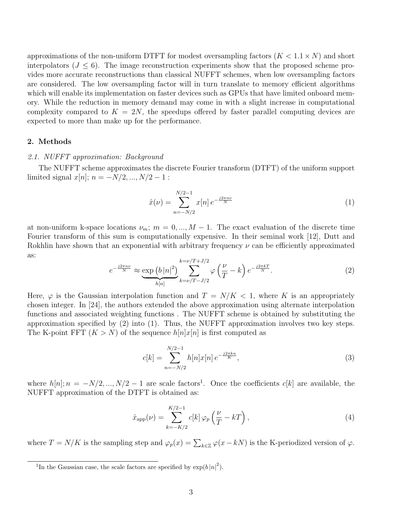approximations of the non-uniform DTFT for modest oversampling factors  $(K < 1.1 \times N)$  and short interpolators  $(J \le 6)$ . The image reconstruction experiments show that the proposed scheme provides more accurate reconstructions than classical NUFFT schemes, when low oversampling factors are considered. The low oversampling factor will in turn translate to memory efficient algorithms which will enable its implementation on faster devices such as GPUs that have limited onboard memory. While the reduction in memory demand may come in with a slight increase in computational complexity compared to  $K = 2N$ , the speedups offered by faster parallel computing devices are expected to more than make up for the performance.

#### 2. Methods

# 2.1. NUFFT approximation: Background

The NUFFT scheme approximates the discrete Fourier transform (DTFT) of the uniform support limited signal  $x[n]$ ;  $n = -N/2, ..., N/2 - 1$ :

$$
\hat{x}(\nu) = \sum_{n=-N/2}^{N/2-1} x[n] e^{-\frac{j2\pi n\nu}{N}}
$$
\n(1)

at non-uniform k-space locations  $\nu_m$ ;  $m = 0, ..., M - 1$ . The exact evaluation of the discrete time Fourier transform of this sum is computationally expensive. In their seminal work [12], Dutt and Rokhlin have shown that an exponential with arbitrary frequency  $\nu$  can be efficiently approximated as:

$$
e^{-\frac{j2\pi n\nu}{N}} \approx \underbrace{\exp\left(b\left|n\right|^2\right)}_{h[n]} \sum_{k=\nu/T-J/2}^{k=\nu/T+J/2} \varphi\left(\frac{\nu}{T}-k\right) e^{-\frac{j2\pi kT}{N}}.\tag{2}
$$

Here,  $\varphi$  is the Gaussian interpolation function and  $T = N/K < 1$ , where K is an appropriately chosen integer. In [24], the authors extended the above approximation using alternate interpolation functions and associated weighting functions . The NUFFT scheme is obtained by substituting the approximation specified by (2) into (1). Thus, the NUFFT approximation involves two key steps. The K-point FFT  $(K > N)$  of the sequence  $h[n]x[n]$  is first computed as

$$
c[k] = \sum_{n=-N/2}^{N/2-1} h[n]x[n] e^{-\frac{j2\pi kn}{K}},
$$
\n(3)

where  $h[n]; n = -N/2, ..., N/2 - 1$  are scale factors<sup>1</sup>. Once the coefficients  $c[k]$  are available, the NUFFT approximation of the DTFT is obtained as:

$$
\hat{x}_{\rm app}(\nu) = \sum_{k=-K/2}^{K/2-1} c[k] \varphi_p \left(\frac{\nu}{T} - kT\right),\tag{4}
$$

where  $T = N/K$  is the sampling step and  $\varphi_p(x) = \sum_{k \in \mathbb{Z}} \varphi(x - kN)$  is the K-periodized version of  $\varphi$ .

<sup>&</sup>lt;sup>1</sup>In the Gaussian case, the scale factors are specified by  $\exp(b|n|^2)$ .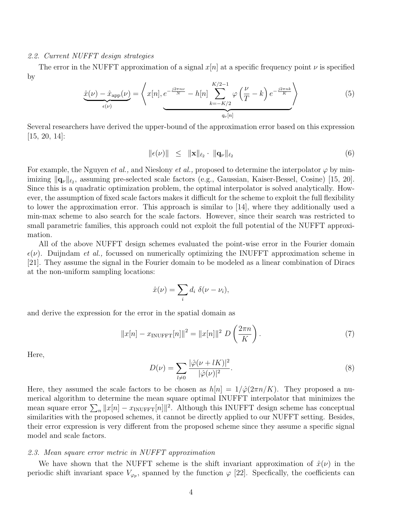#### 2.2. Current NUFFT design strategies

The error in the NUFFT approximation of a signal  $x[n]$  at a specific frequency point  $\nu$  is specified by

$$
\underbrace{\hat{x}(\nu) - \hat{x}_{\text{app}}(\nu)}_{\epsilon(\nu)} = \left\langle x[n], \underbrace{e^{-\frac{j2\pi n\nu}{N}} - h[n]}_{\text{max}} \underbrace{\sum_{k=-K/2}^{K/2-1} \varphi\left(\frac{\nu}{T} - k\right) e^{-\frac{j2\pi n k}{K}}}_{q_{\nu}[n]} \right\rangle \tag{5}
$$

Several researchers have derived the upper-bound of the approximation error based on this expression [15, 20, 14]:

$$
\|\epsilon(\nu)\| \leq \|\mathbf{x}\|_{\ell_2} \cdot \|\mathbf{q}_{\nu}\|_{\ell_2} \tag{6}
$$

For example, the Nguyen *et al.*, and Nieslony *et al.*, proposed to determine the interpolator  $\varphi$  by minimizing  $\|\mathbf{q}_{\nu}\|_{\ell_2}$ , assuming pre-selected scale factors (e.g., Gaussian, Kaiser-Bessel, Cosine) [15, 20]. Since this is a quadratic optimization problem, the optimal interpolator is solved analytically. However, the assumption of fixed scale factors makes it difficult for the scheme to exploit the full flexibility to lower the approximation error. This approach is similar to [14], where they additionally used a min-max scheme to also search for the scale factors. However, since their search was restricted to small parametric families, this approach could not exploit the full potential of the NUFFT approximation.

All of the above NUFFT design schemes evaluated the point-wise error in the Fourier domain  $\epsilon(\nu)$ . Duijndam *et al.*, focussed on numerically optimizing the INUFFT approximation scheme in [21]. They assume the signal in the Fourier domain to be modeled as a linear combination of Diracs at the non-uniform sampling locations:

$$
\hat{x}(\nu) = \sum_i d_i \; \delta(\nu - \nu_i),
$$

and derive the expression for the error in the spatial domain as

$$
||x[n] - x_{\text{INUFFT}}[n]||^2 = ||x[n]||^2 D\left(\frac{2\pi n}{K}\right). \tag{7}
$$

Here,

$$
D(\nu) = \sum_{l \neq 0} \frac{|\hat{\varphi}(\nu + lK)|^2}{|\hat{\varphi}(\nu)|^2}.
$$
 (8)

Here, they assumed the scale factors to be chosen as  $h|n| = 1/\hat{\varphi}(2\pi n/K)$ . They proposed a numerical algorithm to determine the mean square optimal INUFFT interpolator that minimizes the mean square error  $\sum_{n} ||x[n] - x_{\text{INUFFT}}[n]||^2$ . Although this INUFFT design scheme has conceptual similarities with the proposed schemes, it cannot be directly applied to our NUFFT setting. Besides, their error expression is very different from the proposed scheme since they assume a specific signal model and scale factors.

#### 2.3. Mean square error metric in NUFFT approximation

We have shown that the NUFFT scheme is the shift invariant approximation of  $\hat{x}(\nu)$  in the periodic shift invariant space  $V_{\varphi_p}$ , spanned by the function  $\varphi$  [22]. Specfically, the coefficients can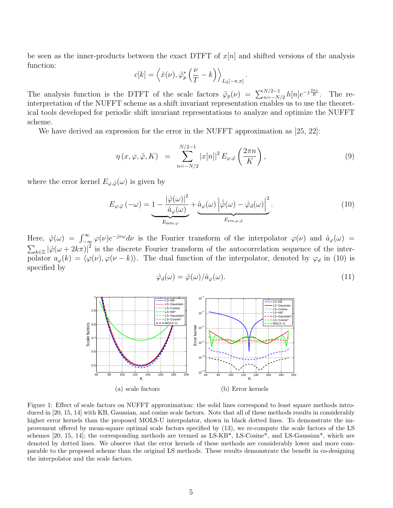be seen as the inner-products between the exact DTFT of  $x[n]$  and shifted versions of the analysis function:

$$
c[k] = \left\langle \hat{x}(\nu), \tilde{\varphi}_p^* \left( \frac{\nu}{T} - k \right) \right\rangle_{L_2[-\pi, \pi]}.
$$

The analysis function is the DTFT of the scale factors  $\tilde{\varphi}_p(\nu) = \sum_{n=-N/2}^{N/2-1} h[n]e^{-j\frac{2\pi\nu}{K}}$ . The reinterpretation of the NUFFT scheme as a shift invariant representation enables us to use the theoretical tools developed for periodic shift invariant representations to analyze and optimize the NUFFT scheme.

We have derived an expression for the error in the NUFFT approximation as [25, 22]:

$$
\eta(x,\varphi,\tilde{\varphi},K) = \sum_{n=-N/2}^{N/2-1} |x[n]|^2 E_{\varphi,\tilde{\varphi}}\left(\frac{2\pi n}{K}\right),\tag{9}
$$

where the error kernel  $E_{\varphi,\tilde{\varphi}}(\omega)$  is given by

$$
E_{\varphi,\tilde{\varphi}}(-\omega) = \underbrace{1 - \frac{|\hat{\varphi}(\omega)|^2}{\hat{a}_{\varphi}(\omega)}}_{E_{\min,\varphi}} + \underbrace{\hat{a}_{\varphi}(\omega) | \hat{\tilde{\varphi}}(\omega) - \hat{\varphi}_d(\omega) |^2}_{E_{\text{res},\varphi,\tilde{\varphi}}}.
$$
\n(10)

Here,  $\hat{\varphi}(\omega) = \int_{-\infty}^{\infty} \varphi(\nu) e^{-j\nu\omega} d\nu$  is the Fourier transform of the interpolator  $\varphi(\nu)$  and  $\hat{a}_{\varphi}(\omega)$  =  $\sum_{k\in\mathbb{Z}}|\hat{\varphi}(\omega+2k\pi)|^2$  is the discrete Fourier transform of the autocorrelation sequence of the interpolator  $a_{\varphi}(k) = \langle \varphi(\nu), \varphi(\nu - k) \rangle$ . The dual function of the interpolator, denoted by  $\varphi_d$  in (10) is specified by

$$
\hat{\varphi}_d(\omega) = \hat{\varphi}(\omega) / \hat{a}_{\varphi}(\omega). \tag{11}
$$



Figure 1: Effect of scale factors on NUFFT approximation: the solid lines correspond to least square methods introduced in [20, 15, 14] with KB, Gaussian, and cosine scale factors. Note that all of these methods results in considerably higher error kernels than the proposed MOLS-U interpolator, shown in black dotted lines. To demonstrate the improvement offered by mean-square optimal scale factors specified by (13), we re-compute the scale factors of the LS schemes [20, 15, 14]; the corresponding methods are termed as LS-KB\*, LS-Cosine\*, and LS-Gaussian\*, which are denoted by dotted lines. We observe that the error kernels of these methods are considerably lower and more comparable to the proposed scheme than the original LS methods. These results demonstrate the benefit in co-designing the interpolator and the scale factors.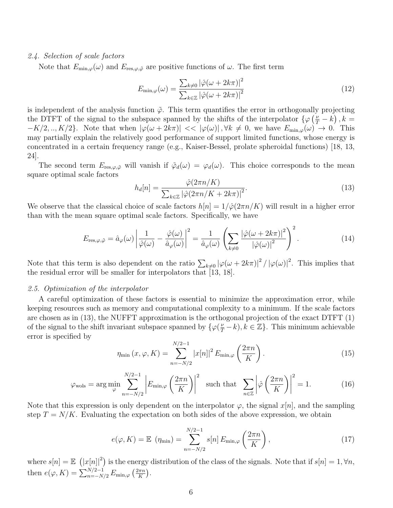## 2.4. Selection of scale factors

Note that  $E_{\min,\varphi}(\omega)$  and  $E_{\text{res},\varphi,\tilde{\varphi}}$  are positive functions of  $\omega$ . The first term

$$
E_{\min,\varphi}(\omega) = \frac{\sum_{k\neq 0} |\hat{\varphi}(\omega + 2k\pi)|^2}{\sum_{k\in\mathbb{Z}} |\hat{\varphi}(\omega + 2k\pi)|^2}
$$
(12)

is independent of the analysis function  $\tilde{\varphi}$ . This term quantifies the error in orthogonally projecting the DTFT of the signal to the subspace spanned by the shifts of the interpolator  $\{\varphi(\frac{\nu}{T} - k), k =$  $-K/2, ..., K/2$ . Note that when  $|\varphi(\omega + 2k\pi)| \ll |\varphi(\omega)|, \forall k \neq 0$ , we have  $E_{\min,\varphi}(\omega) \to 0$ . This may partially explain the relatively good performance of support limited functions, whose energy is concentrated in a certain frequency range (e.g., Kaiser-Bessel, prolate spheroidal functions) [18, 13, 24].

The second term  $E_{\text{res},\varphi,\tilde{\varphi}}$  will vanish if  $\tilde{\varphi}_d(\omega) = \varphi_d(\omega)$ . This choice corresponds to the mean square optimal scale factors

$$
h_d[n] = \frac{\hat{\varphi}(2\pi n/K)}{\sum_{k \in \mathbb{Z}} |\hat{\varphi}(2\pi n/K + 2k\pi)|^2}.
$$
\n(13)

We observe that the classical choice of scale factors  $h[n] = 1/\hat{\varphi}(2\pi n/K)$  will result in a higher error than with the mean square optimal scale factors. Specifically, we have

$$
E_{\text{res},\varphi,\tilde{\varphi}} = \hat{a}_{\varphi}(\omega) \left| \frac{1}{\hat{\varphi}(\omega)} - \frac{\hat{\varphi}(\omega)}{\hat{a}_{\varphi}(\omega)} \right|^2 = \frac{1}{\hat{a}_{\varphi}(\omega)} \left( \sum_{k \neq 0} \frac{|\hat{\varphi}(\omega + 2k\pi)|^2}{|\hat{\varphi}(\omega)|^2} \right)^2.
$$
 (14)

Note that this term is also dependent on the ratio  $\sum_{k\neq 0} |\varphi(\omega + 2k\pi)|^2 / |\varphi(\omega)|^2$ . This implies that the residual error will be smaller for interpolators that [13, 18].

#### 2.5. Optimization of the interpolator

A careful optimization of these factors is essential to minimize the approximation error, while keeping resources such as memory and computational complexity to a minimum. If the scale factors are chosen as in (13), the NUFFT approximation is the orthogonal projection of the exact DTFT (1) of the signal to the shift invariant subspace spanned by  $\{\varphi(\frac{\nu}{T} - k), k \in \mathbb{Z}\}\.$  This minimum achievable error is specified by

$$
\eta_{\min}(x,\varphi,K) = \sum_{n=-N/2}^{N/2-1} |x[n]|^2 E_{\min,\varphi}\left(\frac{2\pi n}{K}\right).
$$
\n(15)

$$
\varphi_{\text{wols}} = \arg \min_{\varphi} \sum_{n=-N/2}^{N/2-1} \left| E_{\min,\varphi} \left( \frac{2\pi n}{K} \right) \right|^2 \text{ such that } \sum_{n \in \mathbb{Z}} \left| \hat{\varphi} \left( \frac{2\pi n}{K} \right) \right|^2 = 1. \tag{16}
$$

Note that this expression is only dependent on the interpolator  $\varphi$ , the signal  $x[n]$ , and the sampling step  $T = N/K$ . Evaluating the expectation on both sides of the above expression, we obtain

$$
e(\varphi, K) = \mathbb{E} \left( \eta_{\min} \right) = \sum_{n = -N/2}^{N/2 - 1} s[n] E_{\min, \varphi} \left( \frac{2 \pi n}{K} \right), \tag{17}
$$

where  $s[n] = \mathbb{E}((x[n])^2)$  is the energy distribution of the class of the signals. Note that if  $s[n] = 1, \forall n$ , then  $e(\varphi, K) = \sum_{n=-N/2}^{N/2-1} E_{\min, \varphi} \left( \frac{2\pi n}{K} \right)$  $\frac{2\pi n}{K}$ .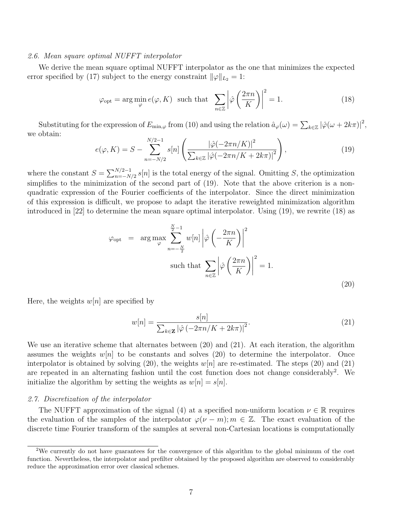#### 2.6. Mean square optimal NUFFT interpolator

We derive the mean square optimal NUFFT interpolator as the one that minimizes the expected error specified by (17) subject to the energy constraint  $\|\varphi\|_{L_2} = 1$ :

$$
\varphi_{\text{opt}} = \arg \min_{\varphi} e(\varphi, K) \quad \text{such that} \quad \sum_{n \in \mathbb{Z}} \left| \hat{\varphi} \left( \frac{2\pi n}{K} \right) \right|^2 = 1. \tag{18}
$$

Substituting for the expression of  $E_{\min,\varphi}$  from (10) and using the relation  $\hat{a}_{\varphi}(\omega) = \sum_{k \in \mathbb{Z}} |\hat{\varphi}(\omega + 2k\pi)|^2$ , we obtain:

$$
e(\varphi, K) = S - \sum_{n=-N/2}^{N/2-1} s[n] \left( \frac{|\hat{\varphi}(-2\pi n/K)|^2}{\sum_{k \in \mathbb{Z}} |\hat{\varphi}(-2\pi n/K + 2k\pi)|^2} \right),
$$
(19)

where the constant  $S = \sum_{n=-N/2}^{N/2-1} s[n]$  is the total energy of the signal. Omitting S, the optimization simplifies to the minimization of the second part of (19). Note that the above criterion is a nonquadratic expression of the Fourier coefficients of the interpolator. Since the direct minimization of this expression is difficult, we propose to adapt the iterative reweighted minimization algorithm introduced in [22] to determine the mean square optimal interpolator. Using (19), we rewrite (18) as

$$
\varphi_{\text{opt}} = \arg \max_{\varphi} \sum_{n=-\frac{N}{2}}^{\frac{N}{2}-1} w[n] \left| \hat{\varphi} \left( -\frac{2\pi n}{K} \right) \right|^2
$$
\n
$$
\text{such that } \sum_{n \in \mathbb{Z}} \left| \hat{\varphi} \left( \frac{2\pi n}{K} \right) \right|^2 = 1.
$$
\n(20)

Here, the weights  $w[n]$  are specified by

$$
w[n] = \frac{s[n]}{\sum_{k \in \mathbf{Z}} |\hat{\varphi}(-2\pi n/K + 2k\pi)|^2}.
$$
\n(21)

We use an iterative scheme that alternates between (20) and (21). At each iteration, the algorithm assumes the weights  $w[n]$  to be constants and solves (20) to determine the interpolator. Once interpolator is obtained by solving (20), the weights  $w[n]$  are re-estimated. The steps (20) and (21) are repeated in an alternating fashion until the cost function does not change considerably<sup>2</sup>. We initialize the algorithm by setting the weights as  $w[n] = s[n]$ .

## 2.7. Discretization of the interpolator

The NUFFT approximation of the signal (4) at a specified non-uniform location  $\nu \in \mathbb{R}$  requires the evaluation of the samples of the interpolator  $\varphi(\nu - m); m \in \mathbb{Z}$ . The exact evaluation of the discrete time Fourier transform of the samples at several non-Cartesian locations is computationally

<sup>2</sup>We currently do not have guarantees for the convergence of this algorithm to the global minimum of the cost function. Nevertheless, the interpolator and prefilter obtained by the proposed algorithm are observed to considerably reduce the approximation error over classical schemes.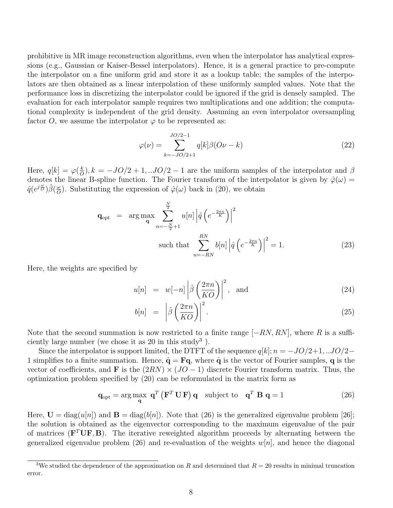prohibitive in MR image reconstruction algorithms, even when the interpolator has analytical expressions (e.g., Gaussian or Kaiser-Bessel interpolators). Hence, it is a general practice to pre-compute the interpolator on a fine uniform grid and store it as a lookup table; the samples of the interpolators are then obtained as a linear interpolation of these uniformly sampled values. Note that the performance loss in discretizing the interpolator could be ignored if the grid is densely sampled. The evaluation for each interpolator sample requires two multiplications and one addition; the computational complexity is independent of the grid density. Assuming an even interpolator oversampling factor O, we assume the interpolator  $\varphi$  to be represented as:

$$
\varphi(\nu) = \sum_{k=-JO/2+1}^{JO/2-1} q[k] \beta(O\nu - k)
$$
\n(22)

Here,  $q[k] = \varphi(\frac{k}{C})$  $\frac{k}{\omega}$ ,  $k = -JO/2 + 1, \ldots$   $JO/2 - 1$  are the uniform samples of the interpolator and  $\beta$ denotes the linear B-spline function. The Fourier transform of the interpolator is given by  $\hat{\varphi}(\omega)$  =  $\hat{q}(e^{j\frac{\omega}{\overline{O}}})\hat{\beta}(\frac{\omega}{\overline{O}})$  $\frac{\omega}{\partial}$ . Substituting the expression of  $\hat{\varphi}(\omega)$  back in (20), we obtain

$$
\mathbf{q}_{\text{opt}} = \arg \max_{\mathbf{q}} \sum_{n=-\frac{N}{2}+1}^{\frac{N}{2}} u[n] \left| \hat{q} \left( e^{-\frac{2\pi n}{K}} \right) \right|^2
$$
\n
$$
\text{such that } \sum_{n=-RN}^{RN} b[n] \left| \hat{q} \left( e^{-\frac{2\pi n}{K}} \right) \right|^2 = 1. \tag{23}
$$

Here, the weights are specified by

$$
u[n] = w[-n] \left| \hat{\beta} \left( \frac{2\pi n}{KO} \right) \right|^2, \text{ and } (24)
$$

$$
b[n] = \left| \hat{\beta} \left( \frac{2\pi n}{KO} \right) \right|^2. \tag{25}
$$

Note that the second summation is now restricted to a finite range  $[-RN, RN]$ , where R is a sufficiently large number (we chose it as  $20$  in this study<sup>3</sup>).

Since the interpolator is support limited, the DTFT of the sequence  $q[k]; n = -JO/2+1, \ldots JO/2-$ 1 simplifies to a finite summation. Hence,  $\hat{\mathbf{q}} = \mathbf{F}\mathbf{q}$ , where  $\hat{\mathbf{q}}$  is the vector of Fourier samples, q is the vector of coefficients, and **F** is the  $(2RN) \times (JO - 1)$  discrete Fourier transform matrix. Thus, the optimization problem specified by (20) can be reformulated in the matrix form as

$$
\mathbf{q}_{\text{opt}} = \arg \max_{\mathbf{q}} \; \mathbf{q}^T \left( \mathbf{F}^T \, \mathbf{U} \, \mathbf{F} \right) \mathbf{q} \quad \text{subject to} \quad \mathbf{q}^T \, \mathbf{B} \, \mathbf{q} = 1 \tag{26}
$$

Here,  $\mathbf{U} = \text{diag}(u[n])$  and  $\mathbf{B} = \text{diag}(b[n])$ . Note that (26) is the generalized eigenvalue problem [26]; the solution is obtained as the eigenvector corresponding to the maximum eigenvalue of the pair of matrices ( $\mathbf{F}^T \mathbf{U} \mathbf{F}, \mathbf{B}$ ). The iterative reweighted algorithm proceeds by alternating between the generalized eigenvalue problem (26) and re-evaluation of the weights  $w[n]$ , and hence the diagonal

<sup>&</sup>lt;sup>3</sup>We studied the dependence of the approximation on R and determined that  $R = 20$  results in minimal truncation error.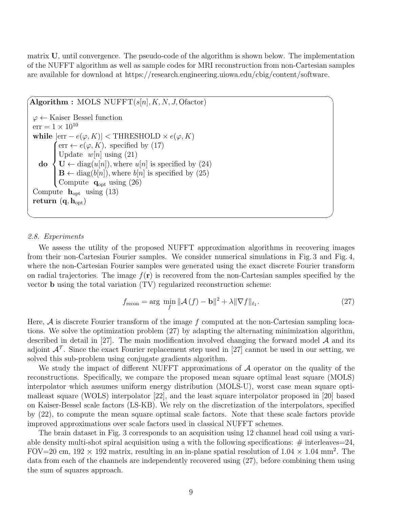matrix U, until convergence. The pseudo-code of the algorithm is shown below. The implementation of the NUFFT algorithm as well as sample codes for MRI reconstruction from non-Cartesian samples are available for download at https://research.engineering.uiowa.edu/cbig/content/software.

 $\widehat{ \text{Algorithm}: \text{MOLS NUFFT}(s[n], K, N, J, \text{Ofactor}) }$  $\varphi \leftarrow$  Kaiser Bessel function  $err = 1 \times 10^{10}$ while  $|\text{err} - e(\varphi, K)| < \text{THRESHOLD} \times e(\varphi, K)$ do  $\int \text{err} \leftarrow e(\varphi, K)$ , specified by (17)  $\int$  $\overline{\mathcal{L}}$ Update  $w[n]$  using (21)  $\mathbf{U} \leftarrow \text{diag}(u[n]),$  where  $u[n]$  is specified by (24)  $\mathbf{B} \leftarrow \text{diag}(b[n]),$  where  $b[n]$  is specified by (25) Compute  $\mathbf{q}_{\text{opt}}$  using  $(26)$ Compute  $h_{opt}$  using (13) return  $(q, h_{\text{opt}})$ 

## 2.8. Experiments

 $\searrow$ 

We assess the utility of the proposed NUFFT approximation algorithms in recovering images from their non-Cartesian Fourier samples. We consider numerical simulations in Fig. 3 and Fig. 4, where the non-Cartesian Fourier samples were generated using the exact discrete Fourier transform on radial trajectories. The image  $f(\mathbf{r})$  is recovered from the non-Cartesian samples specified by the vector b using the total variation (TV) regularized reconstruction scheme:

$$
f_{\text{recon}} = \arg \min_{f} \|\mathcal{A}(f) - \mathbf{b}\|^2 + \lambda \|\nabla f\|_{\ell_1}.
$$
 (27)

Here,  $A$  is discrete Fourier transform of the image f computed at the non-Cartesian sampling locations. We solve the optimization problem (27) by adapting the alternating minimization algorithm, described in detail in [27]. The main modification involved changing the forward model  $A$  and its adjoint  $\mathcal{A}^{\mathcal{T}}$ . Since the exact Fourier replacement step used in [27] cannot be used in our setting, we solved this sub-problem using conjugate gradients algorithm.

We study the impact of different NUFFT approximations of  $A$  operator on the quality of the reconstructions. Specifically, we compare the proposed mean square optimal least square (MOLS) interpolator which assumes uniform energy distribution (MOLS-U), worst case mean square optimalleast square (WOLS) interpolator [22], and the least square interpolator proposed in [20] based on Kaiser-Bessel scale factors (LS-KB). We rely on the discretization of the interpolators, specified by (22), to compute the mean square optimal scale factors. Note that these scale factors provide improved approximations over scale factors used in classical NUFFT schemes.

The brain dataset in Fig. 3 corresponds to an acquisition using 12 channel head coil using a variable density multi-shot spiral acquisition using a with the following specifications:  $\#$  interleaves = 24, FOV=20 cm,  $192 \times 192$  matrix, resulting in an in-plane spatial resolution of  $1.04 \times 1.04$  mm<sup>2</sup>. The data from each of the channels are independently recovered using (27), before combining them using the sum of squares approach.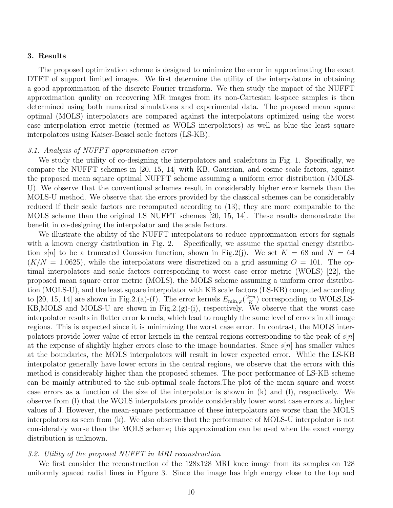#### 3. Results

The proposed optimization scheme is designed to minimize the error in approximating the exact DTFT of support limited images. We first determine the utility of the interpolators in obtaining a good approximation of the discrete Fourier transform. We then study the impact of the NUFFT approximation quality on recovering MR images from its non-Cartesian k-space samples is then determined using both numerical simulations and experimental data. The proposed mean square optimal (MOLS) interpolators are compared against the interpolators optimized using the worst case interpolation error metric (termed as WOLS interpolators) as well as blue the least square interpolators using Kaiser-Bessel scale factors (LS-KB).

#### 3.1. Analysis of NUFFT approximation error

We study the utility of co-designing the interpolators and scalefctors in Fig. 1. Specifically, we compare the NUFFT schemes in [20, 15, 14] with KB, Gaussian, and cosine scale factors, against the proposed mean square optimal NUFFT scheme assuming a uniform error distribution (MOLS-U). We observe that the conventional schemes result in considerably higher error kernels than the MOLS-U method. We observe that the errors provided by the classical schemes can be considerably reduced if their scale factors are recomputed according to (13); they are more comparable to the MOLS scheme than the original LS NUFFT schemes [20, 15, 14]. These results demonstrate the benefit in co-designing the interpolator and the scale factors.

We illustrate the ability of the NUFFT interpolators to reduce approximation errors for signals with a known energy distribution in Fig. 2. Specifically, we assume the spatial energy distribution s[n] to be a truncated Gaussian function, shown in Fig.2(j). We set  $K = 68$  and  $N = 64$  $(K/N = 1.0625)$ , while the interpolators were discretized on a grid assuming  $O = 101$ . The optimal interpolators and scale factors corresponding to worst case error metric (WOLS) [22], the proposed mean square error metric (MOLS), the MOLS scheme assuming a uniform error distribution (MOLS-U), and the least square interpolator with KB scale factors (LS-KB) computed according to [20, 15, 14] are shown in Fig.2.(a)-(f). The error kernels  $E_{\min,\varphi}(\frac{2\pi n}{K})$  $\frac{\pi n}{K}$ ) corresponding to WOLS,LS-KB,MOLS and MOLS-U are shown in Fig.2.(g)-(i), respectively. We observe that the worst case interpolator results in flatter error kernels, which lead to roughly the same level of errors in all image regions. This is expected since it is minimizing the worst case error. In contrast, the MOLS interpolators provide lower value of error kernels in the central regions corresponding to the peak of  $s|n|$ at the expense of slightly higher errors close to the image boundaries. Since  $s[n]$  has smaller values at the boundaries, the MOLS interpolators will result in lower expected error. While the LS-KB interpolator generally have lower errors in the central regions, we observe that the errors with this method is considerably higher than the proposed schemes. The poor performance of LS-KB scheme can be mainly attributed to the sub-optimal scale factors.The plot of the mean square and worst case errors as a function of the size of the interpolator is shown in (k) and (l), respectively. We observe from (l) that the WOLS interpolators provide considerably lower worst case errors at higher values of J. However, the mean-square performance of these interpolators are worse than the MOLS interpolators as seen from (k). We also observe that the performance of MOLS-U interpolator is not considerably worse than the MOLS scheme; this approximation can be used when the exact energy distribution is unknown.

#### 3.2. Utility of the proposed NUFFT in MRI reconstruction

We first consider the reconstruction of the 128x128 MRI knee image from its samples on 128 uniformly spaced radial lines in Figure 3. Since the image has high energy close to the top and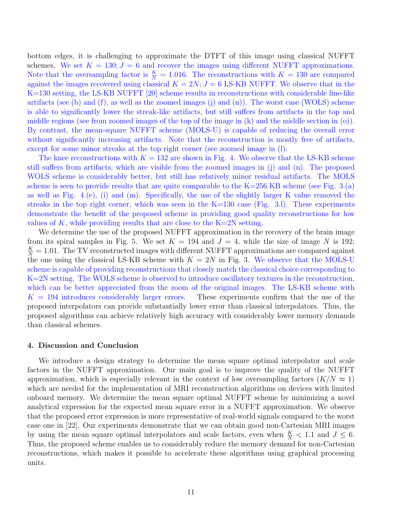bottom edges, it is challenging to approximate the DTFT of this image using classical NUFFT schemes. We set  $K = 130; J = 6$  and recover the images using different NUFFT approximations. Note that the oversampling factor is  $\frac{K}{N} = 1.016$ . The reconstructions with  $K = 130$  are compared against the images recovered using classical  $K = 2N; J = 6$  LS-KB NUFFT. We observe that in the K=130 setting, the LS-KB NUFFT [20] scheme results in reconstructions with considerable line-like artifacts (see (b) and (f), as well as the zoomed images (j) and  $(n)$ ). The worst case (WOLS) scheme is able to significantly lower the streak-like artifacts, but still suffers from artifacts in the top and middle regions (see from zoomed images of the top of the image in (k) and the middle section in (o)). By contrast, the mean-square NUFFT scheme (MOLS-U) is capable of reducing the overall error without significantly increasing artifacts. Note that the reconstruction is mostly free of artifacts, except for some minor streaks at the top right corner (see zoomed image in (l).

The knee reconstructions with  $K = 132$  are shown in Fig. 4. We observe that the LS-KB scheme still suffers from artifacts, which are visible from the zoomed images in (j) and (n). The proposed WOLS scheme is considerably better, but still has relatively minor residual artifacts. The MOLS scheme is seen to provide results that are quite comparable to the  $K=256$  KB scheme (see Fig. 3.(a) as well as Fig.  $4.(e)$ , (i) and (m). Specifically, the use of the slightly larger K value removed the streaks in the top right corner, which was seen in the  $K=130$  case (Fig. 3.1). These experiments demonstrate the benefit of the proposed scheme in providing good quality reconstructions for low values of K, while providing results that are close to the  $K=2N$  setting.

We determine the use of the proposed NUFFT approximation in the recovery of the brain image from its spiral samples in Fig. 5. We set  $K = 194$  and  $J = 4$ , while the size of image N is 192;  $\frac{K}{N} = 1.01$ . The TV reconstructed images with different NUFFT approximations are compared against the one using the classical LS-KB scheme with  $K = 2N$  in Fig. 3. We observe that the MOLS-U scheme is capable of providing reconstructions that closely match the classical choice corresponding to K=2N setting. The WOLS scheme is observed to introduce oscillatory textures in the reconstruction, which can be better appreciated from the zoom of the original images. The LS-KB scheme with  $K = 194$  introduces considerably larger errors. These experiments confirm that the use of the proposed interpolators can provide substantially lower error than classical interpolators. Thus, the proposed algorithms can achieve relatively high accuracy with considerably lower memory demands than classical schemes.

#### 4. Discussion and Conclusion

We introduce a design strategy to determine the mean square optimal interpolator and scale factors in the NUFFT approximation. Our main goal is to improve the quality of the NUFFT approximation, which is especially relevant in the context of low oversampling factors  $(K/N \approx 1)$ which are needed for the implementation of MRI reconstruction algorithms on devices with limited onboard memory. We determine the mean square optimal NUFFT scheme by minimizing a novel analytical expression for the expected mean square error in a NUFFT approximation. We observe that the proposed error expression is more representative of real-world signals compared to the worst case one in [22]. Our experiments demonstrate that we can obtain good non-Cartesian MRI images by using the mean square optimal interpolators and scale factors, even when  $\frac{K}{N}$  < 1.1 and  $J \leq 6$ . Thus, the proposed scheme enables us to considerably reduce the memory demand for non-Cartesian reconstructions, which makes it possible to accelerate these algorithms using graphical processing units.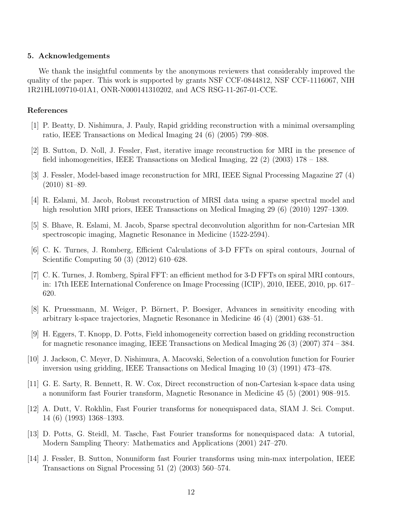## 5. Acknowledgements

We thank the insightful comments by the anonymous reviewers that considerably improved the quality of the paper. This work is supported by grants NSF CCF-0844812, NSF CCF-1116067, NIH 1R21HL109710-01A1, ONR-N000141310202, and ACS RSG-11-267-01-CCE.

#### References

- [1] P. Beatty, D. Nishimura, J. Pauly, Rapid gridding reconstruction with a minimal oversampling ratio, IEEE Transactions on Medical Imaging 24 (6) (2005) 799–808.
- [2] B. Sutton, D. Noll, J. Fessler, Fast, iterative image reconstruction for MRI in the presence of field inhomogeneities, IEEE Transactions on Medical Imaging,  $22$  (2) (2003) 178 – 188.
- [3] J. Fessler, Model-based image reconstruction for MRI, IEEE Signal Processing Magazine 27 (4) (2010) 81–89.
- [4] R. Eslami, M. Jacob, Robust reconstruction of MRSI data using a sparse spectral model and high resolution MRI priors, IEEE Transactions on Medical Imaging 29 (6) (2010) 1297–1309.
- [5] S. Bhave, R. Eslami, M. Jacob, Sparse spectral deconvolution algorithm for non-Cartesian MR spectroscopic imaging, Magnetic Resonance in Medicine (1522-2594).
- [6] C. K. Turnes, J. Romberg, Efficient Calculations of 3-D FFTs on spiral contours, Journal of Scientific Computing 50 (3) (2012) 610–628.
- [7] C. K. Turnes, J. Romberg, Spiral FFT: an efficient method for 3-D FFTs on spiral MRI contours, in: 17th IEEE International Conference on Image Processing (ICIP), 2010, IEEE, 2010, pp. 617– 620.
- [8] K. Pruessmann, M. Weiger, P. Börnert, P. Boesiger, Advances in sensitivity encoding with arbitrary k-space trajectories, Magnetic Resonance in Medicine 46 (4) (2001) 638–51.
- [9] H. Eggers, T. Knopp, D. Potts, Field inhomogeneity correction based on gridding reconstruction for magnetic resonance imaging, IEEE Transactions on Medical Imaging 26 (3) (2007) 374 – 384.
- [10] J. Jackson, C. Meyer, D. Nishimura, A. Macovski, Selection of a convolution function for Fourier inversion using gridding, IEEE Transactions on Medical Imaging 10 (3) (1991) 473–478.
- [11] G. E. Sarty, R. Bennett, R. W. Cox, Direct reconstruction of non-Cartesian k-space data using a nonuniform fast Fourier transform, Magnetic Resonance in Medicine 45 (5) (2001) 908–915.
- [12] A. Dutt, V. Rokhlin, Fast Fourier transforms for nonequispaced data, SIAM J. Sci. Comput. 14 (6) (1993) 1368–1393.
- [13] D. Potts, G. Steidl, M. Tasche, Fast Fourier transforms for nonequispaced data: A tutorial, Modern Sampling Theory: Mathematics and Applications (2001) 247–270.
- [14] J. Fessler, B. Sutton, Nonuniform fast Fourier transforms using min-max interpolation, IEEE Transactions on Signal Processing 51 (2) (2003) 560–574.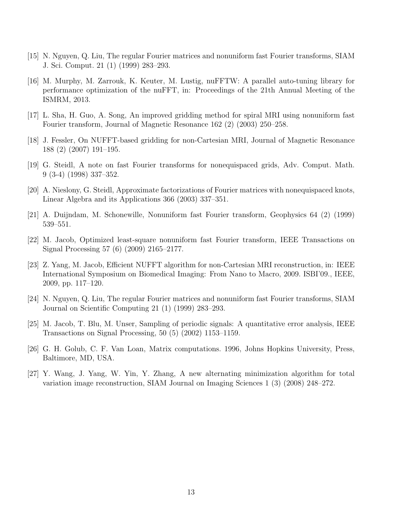- [15] N. Nguyen, Q. Liu, The regular Fourier matrices and nonuniform fast Fourier transforms, SIAM J. Sci. Comput. 21 (1) (1999) 283–293.
- [16] M. Murphy, M. Zarrouk, K. Keuter, M. Lustig, nuFFTW: A parallel auto-tuning library for performance optimization of the nuFFT, in: Proceedings of the 21th Annual Meeting of the ISMRM, 2013.
- [17] L. Sha, H. Guo, A. Song, An improved gridding method for spiral MRI using nonuniform fast Fourier transform, Journal of Magnetic Resonance 162 (2) (2003) 250–258.
- [18] J. Fessler, On NUFFT-based gridding for non-Cartesian MRI, Journal of Magnetic Resonance 188 (2) (2007) 191–195.
- [19] G. Steidl, A note on fast Fourier transforms for nonequispaced grids, Adv. Comput. Math. 9 (3-4) (1998) 337–352.
- [20] A. Nieslony, G. Steidl, Approximate factorizations of Fourier matrices with nonequispaced knots, Linear Algebra and its Applications 366 (2003) 337–351.
- [21] A. Duijndam, M. Schonewille, Nonuniform fast Fourier transform, Geophysics 64 (2) (1999) 539–551.
- [22] M. Jacob, Optimized least-square nonuniform fast Fourier transform, IEEE Transactions on Signal Processing 57 (6) (2009) 2165–2177.
- [23] Z. Yang, M. Jacob, Efficient NUFFT algorithm for non-Cartesian MRI reconstruction, in: IEEE International Symposium on Biomedical Imaging: From Nano to Macro, 2009. ISBI'09., IEEE, 2009, pp. 117–120.
- [24] N. Nguyen, Q. Liu, The regular Fourier matrices and nonuniform fast Fourier transforms, SIAM Journal on Scientific Computing 21 (1) (1999) 283–293.
- [25] M. Jacob, T. Blu, M. Unser, Sampling of periodic signals: A quantitative error analysis, IEEE Transactions on Signal Processing, 50 (5) (2002) 1153–1159.
- [26] G. H. Golub, C. F. Van Loan, Matrix computations. 1996, Johns Hopkins University, Press, Baltimore, MD, USA.
- [27] Y. Wang, J. Yang, W. Yin, Y. Zhang, A new alternating minimization algorithm for total variation image reconstruction, SIAM Journal on Imaging Sciences 1 (3) (2008) 248–272.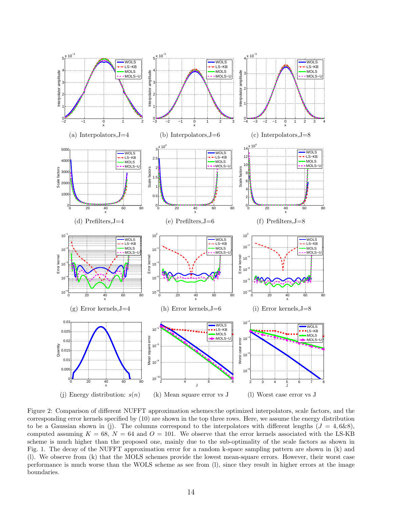

Figure 2: Comparison of different NUFFT approximation schemes:the optimized interpolators, scale factors, and the corresponding error kernels specified by (10) are shown in the top three rows. Here, we assume the energy distribution to be a Gaussian shown in (j). The columns correspond to the interpolators with different lengths  $(J = 4, 6&8),$ computed assuming  $K = 68$ ,  $N = 64$  and  $O = 101$ . We observe that the error kernels associated with the LS-KB scheme is much higher than the proposed one, mainly due to the sub-optimality of the scale factors as shown in Fig. 1. The decay of the NUFFT approximation error for a random k-space sampling pattern are shown in (k) and (l). We observe from (k) that the MOLS schemes provide the lowest mean-square errors. However, their worst case performance is much worse than the WOLS scheme as see from (l), since they result in higher errors at the image boundaries.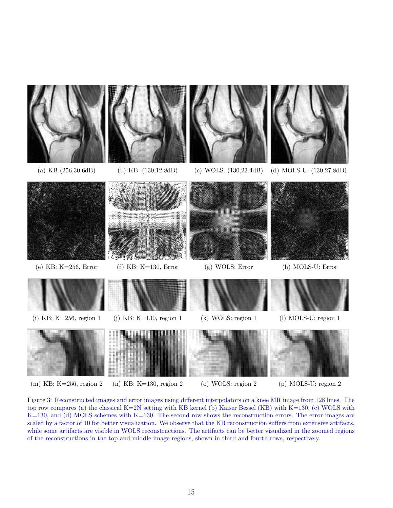

Figure 3: Reconstructed images and error images using different interpolators on a knee MR image from 128 lines. The top row compares (a) the classical K=2N setting with KB kernel (b) Kaiser Bessel (KB) with K=130, (c) WOLS with K=130, and (d) MOLS schemes with K=130. The second row shows the reconstruction errors. The error images are scaled by a factor of 10 for better visualization. We observe that the KB reconstruction suffers from extensive artifacts, while some artifacts are visible in WOLS reconstructions. The artifacts can be better visualized in the zoomed regions of the reconstructions in the top and middle image regions, shown in third and fourth rows, respectively.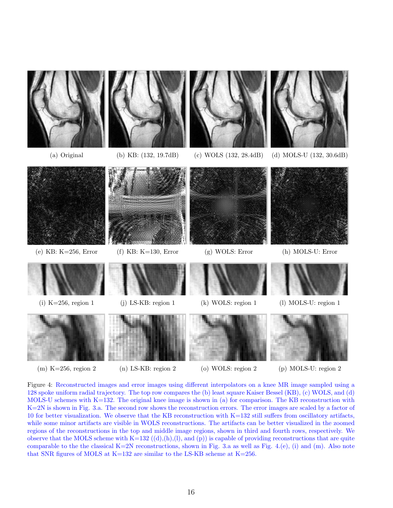

- 
- 
- 
- (m) K=256, region 2 (n) LS-KB: region 2 (o) WOLS: region 2 (p) MOLS-U: region 2

Figure 4: Reconstructed images and error images using different interpolators on a knee MR image sampled using a 128 spoke uniform radial trajectory. The top row compares the (b) least square Kaiser Bessel (KB), (c) WOLS, and (d) MOLS-U schemes with K=132. The original knee image is shown in (a) for comparison. The KB reconstruction with K=2N is shown in Fig. 3.a. The second row shows the reconstruction errors. The error images are scaled by a factor of 10 for better visualization. We observe that the KB reconstruction with K=132 still suffers from oscillatory artifacts, while some minor artifacts are visible in WOLS reconstructions. The artifacts can be better visualized in the zoomed regions of the reconstructions in the top and middle image regions, shown in third and fourth rows, respectively. We observe that the MOLS scheme with K=132  $((d),(h),(l),$  and  $(p))$  is capable of providing reconstructions that are quite comparable to the the classical K=2N reconstructions, shown in Fig. 3.a as well as Fig. 4.(e), (i) and (m). Also note that SNR figures of MOLS at  $K=132$  are similar to the LS-KB scheme at  $K=256$ .